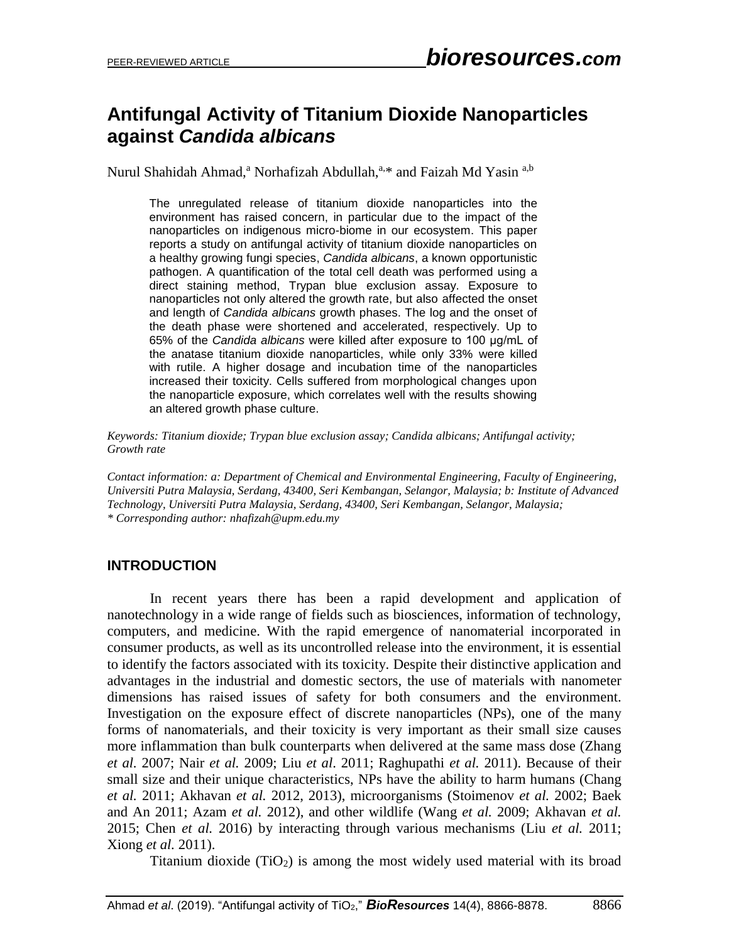# **Antifungal Activity of Titanium Dioxide Nanoparticles against** *Candida albicans*

Nurul Shahidah Ahmad,<sup>a</sup> Norhafizah Abdullah,<sup>a,\*</sup> and Faizah Md Yasin <sup>a,b</sup>

The unregulated release of titanium dioxide nanoparticles into the environment has raised concern, in particular due to the impact of the nanoparticles on indigenous micro-biome in our ecosystem. This paper reports a study on antifungal activity of titanium dioxide nanoparticles on a healthy growing fungi species, *Candida albicans*, a known opportunistic pathogen. A quantification of the total cell death was performed using a direct staining method, Trypan blue exclusion assay. Exposure to nanoparticles not only altered the growth rate, but also affected the onset and length of *Candida albicans* growth phases. The log and the onset of the death phase were shortened and accelerated, respectively. Up to 65% of the *Candida albicans* were killed after exposure to 100 μg/mL of the anatase titanium dioxide nanoparticles, while only 33% were killed with rutile. A higher dosage and incubation time of the nanoparticles increased their toxicity. Cells suffered from morphological changes upon the nanoparticle exposure, which correlates well with the results showing an altered growth phase culture.

*Keywords: Titanium dioxide; Trypan blue exclusion assay; Candida albicans; Antifungal activity; Growth rate*

*Contact information: a: Department of Chemical and Environmental Engineering, Faculty of Engineering, Universiti Putra Malaysia, Serdang, 43400, Seri Kembangan, Selangor, Malaysia; b: Institute of Advanced Technology, Universiti Putra Malaysia, Serdang, 43400, Seri Kembangan, Selangor, Malaysia; \* Corresponding author: [nhafizah@upm.edu.my](mailto:nhafizah@upm.edu.my)*

## **INTRODUCTION**

In recent years there has been a rapid development and application of nanotechnology in a wide range of fields such as biosciences, information of technology, computers, and medicine. With the rapid emergence of nanomaterial incorporated in consumer products, as well as its uncontrolled release into the environment, it is essential to identify the factors associated with its toxicity. Despite their distinctive application and advantages in the industrial and domestic sectors, the use of materials with nanometer dimensions has raised issues of safety for both consumers and the environment. Investigation on the exposure effect of discrete nanoparticles (NPs), one of the many forms of nanomaterials, and their toxicity is very important as their small size causes more inflammation than bulk counterparts when delivered at the same mass dose (Zhang *et al.* 2007; Nair *et al.* 2009; Liu *et al*. 2011; Raghupathi *et al.* 2011). Because of their small size and their unique characteristics, NPs have the ability to harm humans (Chang *et al.* 2011; Akhavan *et al.* 2012, 2013), microorganisms (Stoimenov *et al.* 2002; Baek and An 2011; Azam *et al.* 2012), and other wildlife (Wang *et al.* 2009; Akhavan *et al.* 2015; Chen *et al.* 2016) by interacting through various mechanisms (Liu *et al.* 2011; Xiong *et al.* 2011).

Titanium dioxide  $(TiO<sub>2</sub>)$  is among the most widely used material with its broad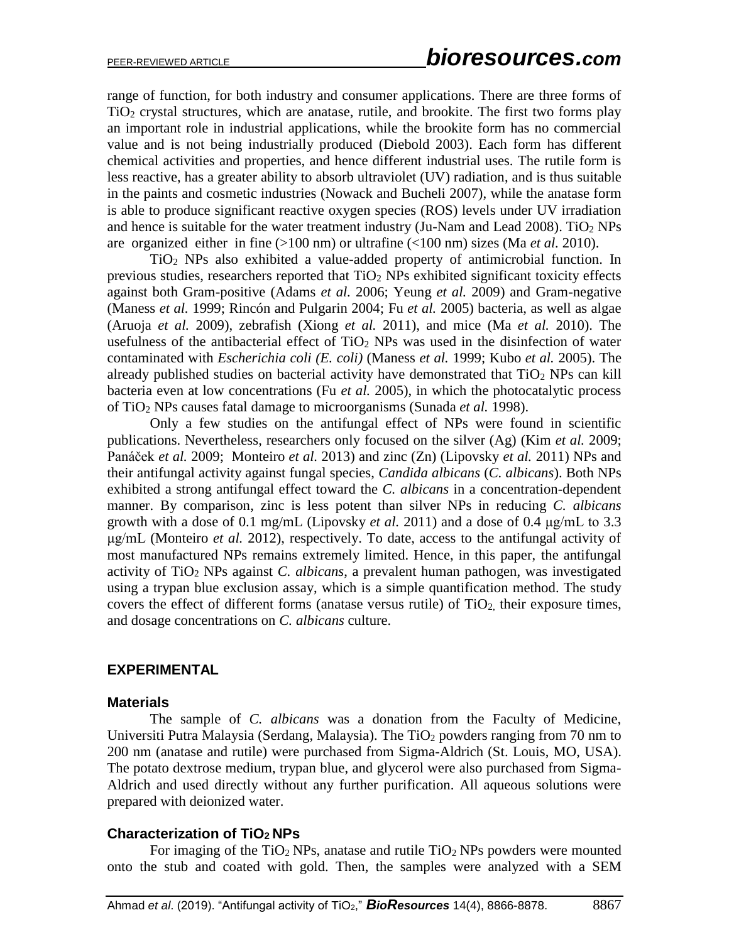range of function, for both industry and consumer applications. There are three forms of TiO<sup>2</sup> crystal structures, which are anatase, rutile, and brookite. The first two forms play an important role in industrial applications, while the brookite form has no commercial value and is not being industrially produced (Diebold 2003). Each form has different chemical activities and properties, and hence different industrial uses. The rutile form is less reactive, has a greater ability to absorb ultraviolet (UV) radiation, and is thus suitable in the paints and cosmetic industries (Nowack and Bucheli 2007), while the anatase form is able to produce significant reactive oxygen species (ROS) levels under UV irradiation and hence is suitable for the water treatment industry (Ju-Nam and Lead 2008). TiO<sub>2</sub> NPs are organized either in fine (>100 nm) or ultrafine (<100 nm) sizes (Ma *et al.* 2010).

TiO<sup>2</sup> NPs also exhibited a value-added property of antimicrobial function. In previous studies, researchers reported that  $TiO<sub>2</sub>$  NPs exhibited significant toxicity effects against both Gram-positive (Adams *et al.* 2006; Yeung *et al.* 2009) and Gram-negative (Maness *et al.* 1999; Rincón and Pulgarin 2004; Fu *et al.* 2005) bacteria, as well as algae (Aruoja *et al.* 2009), zebrafish (Xiong *et al.* 2011), and mice (Ma *et al.* 2010). The usefulness of the antibacterial effect of  $TiO<sub>2</sub>$  NPs was used in the disinfection of water contaminated with *Escherichia coli (E. coli)* (Maness *et al.* 1999; Kubo *et al.* 2005). The already published studies on bacterial activity have demonstrated that  $TiO<sub>2</sub>$  NPs can kill bacteria even at low concentrations (Fu *et al.* 2005), in which the photocatalytic process of TiO<sup>2</sup> NPs causes fatal damage to microorganisms (Sunada *et al.* 1998).

Only a few studies on the antifungal effect of NPs were found in scientific publications. Nevertheless, researchers only focused on the silver (Ag) (Kim *et al.* 2009; Panáček *et al.* 2009; Monteiro *et al.* 2013) and zinc (Zn) (Lipovsky *et al.* 2011) NPs and their antifungal activity against fungal species, *Candida albicans* (*C. albicans*). Both NPs exhibited a strong antifungal effect toward the *C. albicans* in a concentration-dependent manner. By comparison, zinc is less potent than silver NPs in reducing *C. albicans* growth with a dose of 0.1 mg/mL (Lipovsky *et al.* 2011) and a dose of 0.4 μg/mL to 3.3 μg/mL (Monteiro *et al.* 2012), respectively. To date, access to the antifungal activity of most manufactured NPs remains extremely limited. Hence, in this paper, the antifungal activity of TiO<sup>2</sup> NPs against *C. albicans*, a prevalent human pathogen, was investigated using a trypan blue exclusion assay, which is a simple quantification method. The study covers the effect of different forms (anatase versus rutile) of  $TiO<sub>2</sub>$ , their exposure times, and dosage concentrations on *C. albicans* culture.

#### **EXPERIMENTAL**

#### **Materials**

The sample of *C. albicans* was a donation from the Faculty of Medicine, Universiti Putra Malaysia (Serdang, Malaysia). The  $TiO<sub>2</sub>$  powders ranging from 70 nm to 200 nm (anatase and rutile) were purchased from Sigma-Aldrich (St. Louis, MO, USA). The potato dextrose medium, trypan blue, and glycerol were also purchased from Sigma-Aldrich and used directly without any further purification. All aqueous solutions were prepared with deionized water.

#### **Characterization of TiO2 NPs**

For imaging of the  $TiO<sub>2</sub>$  NPs, anatase and rutile  $TiO<sub>2</sub>$  NPs powders were mounted onto the stub and coated with gold. Then, the samples were analyzed with a SEM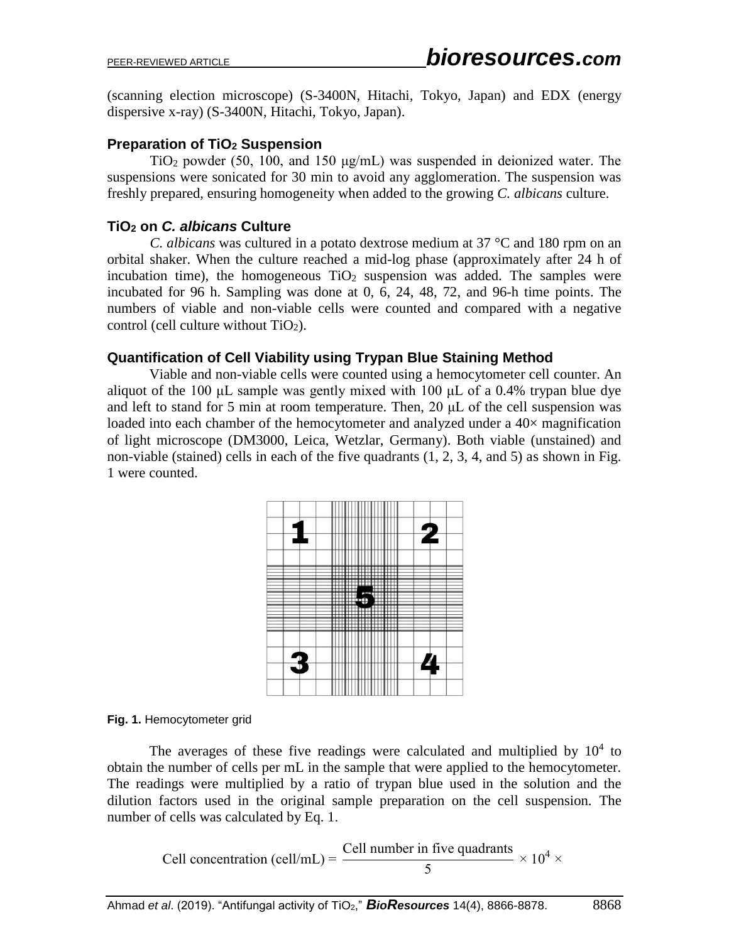(scanning election microscope) (S-3400N, Hitachi, Tokyo, Japan) and EDX (energy dispersive x-ray) (S-3400N, Hitachi, Tokyo, Japan).

### **Preparation of TiO<sup>2</sup> Suspension**

TiO<sub>2</sub> powder (50, 100, and 150  $\mu$ g/mL) was suspended in deionized water. The suspensions were sonicated for 30 min to avoid any agglomeration. The suspension was freshly prepared, ensuring homogeneity when added to the growing *C. albicans* culture.

## **TiO<sup>2</sup> on** *C. albicans* **Culture**

*C. albicans* was cultured in a potato dextrose medium at 37 °C and 180 rpm on an orbital shaker. When the culture reached a mid-log phase (approximately after 24 h of incubation time), the homogeneous  $TiO<sub>2</sub>$  suspension was added. The samples were incubated for 96 h. Sampling was done at 0, 6, 24, 48, 72, and 96-h time points. The numbers of viable and non-viable cells were counted and compared with a negative control (cell culture without  $TiO<sub>2</sub>$ ).

### **Quantification of Cell Viability using Trypan Blue Staining Method**

Viable and non-viable cells were counted using a hemocytometer cell counter. An aliquot of the 100 μL sample was gently mixed with 100 μL of a 0.4% trypan blue dye and left to stand for 5 min at room temperature. Then, 20 μL of the cell suspension was loaded into each chamber of the hemocytometer and analyzed under a 40× magnification of light microscope (DM3000, Leica, Wetzlar, Germany). Both viable (unstained) and non-viable (stained) cells in each of the five quadrants (1, 2, 3, 4, and 5) as shown in Fig. 1 were counted.



#### **Fig. 1.** Hemocytometer grid

The averages of these five readings were calculated and multiplied by  $10<sup>4</sup>$  to obtain the number of cells per mL in the sample that were applied to the hemocytometer. The readings were multiplied by a ratio of trypan blue used in the solution and the dilution factors used in the original sample preparation on the cell suspension. The number of cells was calculated by Eq. 1.

Cell concentration (cell/mL) = 
$$
\frac{\text{Cell number in five quadrants}}{5} \times 10^4 \times
$$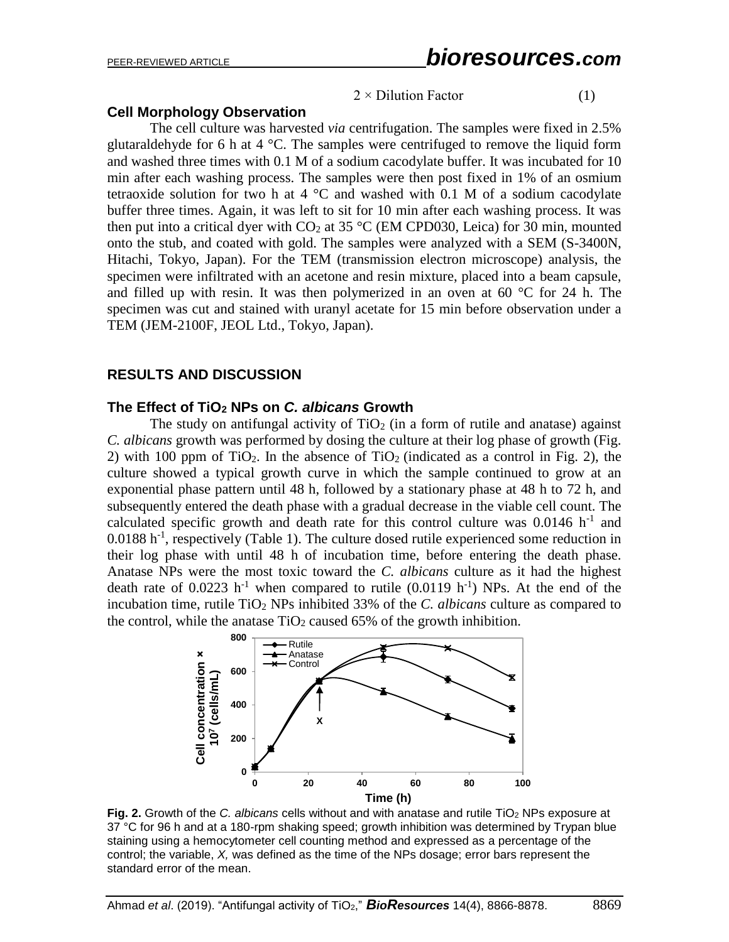#### $2 \times$  Dilution Factor (1)

#### **Cell Morphology Observation**

The cell culture was harvested *via* centrifugation. The samples were fixed in 2.5% glutaraldehyde for 6 h at 4  $^{\circ}$ C. The samples were centrifuged to remove the liquid form and washed three times with 0.1 M of a sodium cacodylate buffer. It was incubated for 10 min after each washing process. The samples were then post fixed in 1% of an osmium tetraoxide solution for two h at  $4^{\circ}$ C and washed with 0.1 M of a sodium cacodylate buffer three times. Again, it was left to sit for 10 min after each washing process. It was then put into a critical dyer with  $CO<sub>2</sub>$  at 35 °C (EM CPD030, Leica) for 30 min, mounted onto the stub, and coated with gold. The samples were analyzed with a SEM (S-3400N, Hitachi, Tokyo, Japan). For the TEM (transmission electron microscope) analysis, the specimen were infiltrated with an acetone and resin mixture, placed into a beam capsule, and filled up with resin. It was then polymerized in an oven at 60  $\degree$ C for 24 h. The specimen was cut and stained with uranyl acetate for 15 min before observation under a TEM (JEM-2100F, JEOL Ltd., Tokyo, Japan).

#### **RESULTS AND DISCUSSION**

#### **The Effect of TiO<sup>2</sup> NPs on** *C. albicans* **Growth**

The study on antifungal activity of  $TiO<sub>2</sub>$  (in a form of rutile and anatase) against *C. albicans* growth was performed by dosing the culture at their log phase of growth (Fig. 2) with 100 ppm of TiO<sub>2</sub>. In the absence of TiO<sub>2</sub> (indicated as a control in Fig. 2), the culture showed a typical growth curve in which the sample continued to grow at an exponential phase pattern until 48 h, followed by a stationary phase at 48 h to 72 h, and subsequently entered the death phase with a gradual decrease in the viable cell count. The calculated specific growth and death rate for this control culture was  $0.0146$  h<sup>-1</sup> and  $0.0188$  h<sup>-1</sup>, respectively (Table 1). The culture dosed rutile experienced some reduction in their log phase with until 48 h of incubation time, before entering the death phase. Anatase NPs were the most toxic toward the *C. albicans* culture as it had the highest death rate of  $0.0223$  h<sup>-1</sup> when compared to rutile  $(0.0119$  h<sup>-1</sup>) NPs. At the end of the incubation time, rutile TiO<sup>2</sup> NPs inhibited 33% of the *C. albicans* culture as compared to the control, while the anatase  $TiO<sub>2</sub>$  caused 65% of the growth inhibition.



**Fig. 2.** Growth of the *C. albicans* cells without and with anatase and rutile TiO<sub>2</sub> NPs exposure at 37 °C for 96 h and at a 180-rpm shaking speed; growth inhibition was determined by Trypan blue staining using a hemocytometer cell counting method and expressed as a percentage of the control; the variable, *X,* was defined as the time of the NPs dosage; error bars represent the standard error of the mean.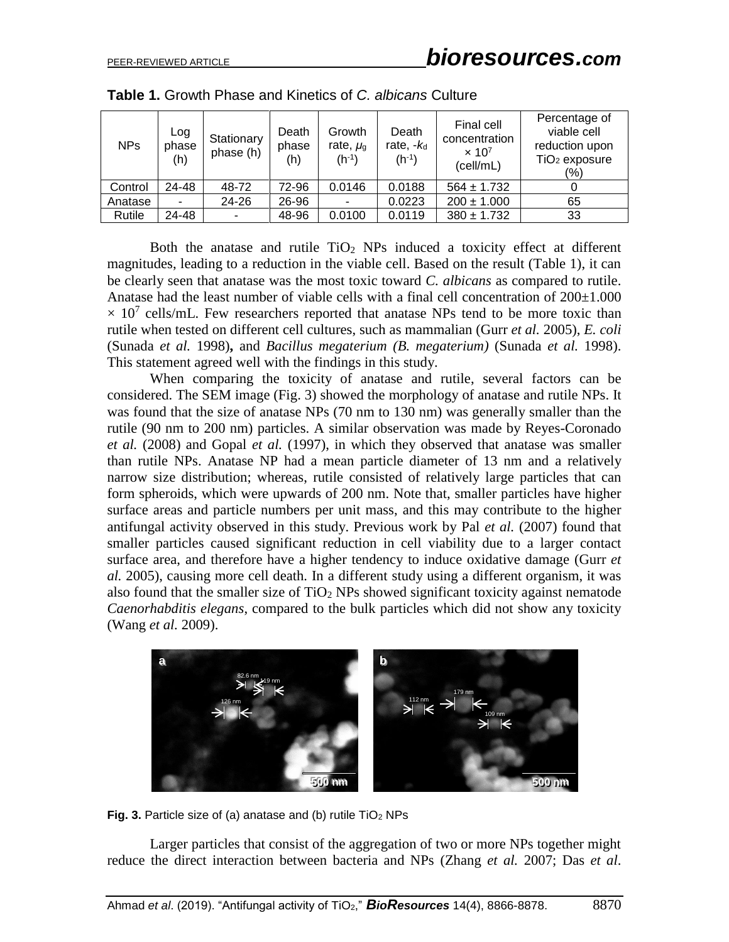| <b>NPs</b> | Log<br>phase<br>(h) | Stationary<br>phase (h)  | Death<br>phase<br>(h) | Growth<br>rate, $\mu_{\rm g}$<br>$(h^{-1})$ | Death<br>rate, $-k_d$<br>$(h^{-1})$ | Final cell<br>concentration<br>$\times 10^7$<br>(cell/mL) | Percentage of<br>viable cell<br>reduction upon<br>$TiO2$ exposure<br>$(\% )$ |
|------------|---------------------|--------------------------|-----------------------|---------------------------------------------|-------------------------------------|-----------------------------------------------------------|------------------------------------------------------------------------------|
| Control    | 24-48               | 48-72                    | 72-96                 | 0.0146                                      | 0.0188                              | $564 \pm 1.732$                                           |                                                                              |
| Anatase    |                     | 24-26                    | 26-96                 |                                             | 0.0223                              | $200 \pm 1.000$                                           | 65                                                                           |
| Rutile     | 24-48               | $\overline{\phantom{0}}$ | 48-96                 | 0.0100                                      | 0.0119                              | $380 \pm 1.732$                                           | 33                                                                           |

**Table 1.** Growth Phase and Kinetics of *C. albicans* Culture

Both the anatase and rutile  $TiO<sub>2</sub>$  NPs induced a toxicity effect at different magnitudes, leading to a reduction in the viable cell. Based on the result (Table 1), it can be clearly seen that anatase was the most toxic toward *C. albicans* as compared to rutile. Anatase had the least number of viable cells with a final cell concentration of  $200\pm1.000$  $\times$  10<sup>7</sup> cells/mL. Few researchers reported that anatase NPs tend to be more toxic than rutile when tested on different cell cultures, such as mammalian (Gurr *et al.* 2005), *E. coli* (Sunada *et al.* 1998)**,** and *Bacillus megaterium (B. megaterium)* (Sunada *et al.* 1998). This statement agreed well with the findings in this study.

When comparing the toxicity of anatase and rutile, several factors can be considered. The SEM image (Fig. 3) showed the morphology of anatase and rutile NPs. It was found that the size of anatase NPs (70 nm to 130 nm) was generally smaller than the rutile (90 nm to 200 nm) particles. A similar observation was made by Reyes-Coronado *et al.* (2008) and Gopal *et al.* (1997), in which they observed that anatase was smaller than rutile NPs. Anatase NP had a mean particle diameter of 13 nm and a relatively narrow size distribution; whereas, rutile consisted of relatively large particles that can form spheroids, which were upwards of 200 nm. Note that, smaller particles have higher surface areas and particle numbers per unit mass, and this may contribute to the higher antifungal activity observed in this study. Previous work by Pal *et al.* (2007) found that smaller particles caused significant reduction in cell viability due to a larger contact surface area, and therefore have a higher tendency to induce oxidative damage (Gurr *et al.* 2005), causing more cell death. In a different study using a different organism, it was also found that the smaller size of  $TiO<sub>2</sub>$  NPs showed significant toxicity against nematode *Caenorhabditis elegans*, compared to the bulk particles which did not show any toxicity (Wang *et al.* 2009).



**Fig. 3.** Particle size of (a) anatase and (b) rutile TiO<sub>2</sub> NPs

Larger particles that consist of the aggregation of two or more NPs together might reduce the direct interaction between bacteria and NPs (Zhang *et al.* 2007; Das *et al*.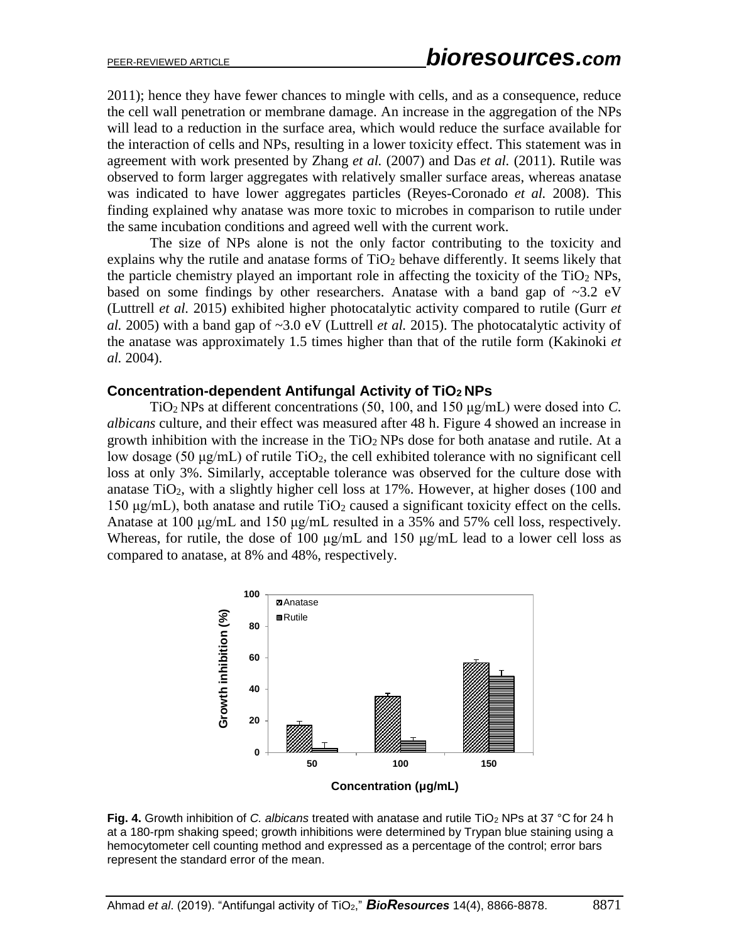2011); hence they have fewer chances to mingle with cells, and as a consequence, reduce the cell wall penetration or membrane damage. An increase in the aggregation of the NPs will lead to a reduction in the surface area, which would reduce the surface available for the interaction of cells and NPs, resulting in a lower toxicity effect. This statement was in agreement with work presented by Zhang *et al.* (2007) and Das *et al.* (2011). Rutile was observed to form larger aggregates with relatively smaller surface areas, whereas anatase was indicated to have lower aggregates particles (Reyes-Coronado *et al.* 2008). This finding explained why anatase was more toxic to microbes in comparison to rutile under the same incubation conditions and agreed well with the current work.

The size of NPs alone is not the only factor contributing to the toxicity and explains why the rutile and anatase forms of  $TiO<sub>2</sub>$  behave differently. It seems likely that the particle chemistry played an important role in affecting the toxicity of the  $TiO<sub>2</sub> NPs$ , based on some findings by other researchers. Anatase with a band gap of  $\sim 3.2$  eV (Luttrell *et al.* 2015) exhibited higher photocatalytic activity compared to rutile (Gurr *et al.* 2005) with a band gap of ~3.0 eV (Luttrell *et al.* 2015). The photocatalytic activity of the anatase was approximately 1.5 times higher than that of the rutile form (Kakinoki *et al.* 2004).

#### **Concentration-dependent Antifungal Activity of TiO2 NPs**

TiO2 NPs at different concentrations (50, 100, and 150 μg/mL) were dosed into *C. albicans* culture, and their effect was measured after 48 h. Figure 4 showed an increase in growth inhibition with the increase in the  $TiO<sub>2</sub> NPs$  dose for both anatase and rutile. At a low dosage (50 μg/mL) of rutile  $TiO<sub>2</sub>$ , the cell exhibited tolerance with no significant cell loss at only 3%. Similarly, acceptable tolerance was observed for the culture dose with anatase TiO<sub>2</sub>, with a slightly higher cell loss at  $17\%$ . However, at higher doses (100 and 150  $\mu$ g/mL), both anatase and rutile TiO<sub>2</sub> caused a significant toxicity effect on the cells. Anatase at 100 μg/mL and 150 μg/mL resulted in a 35% and 57% cell loss, respectively. Whereas, for rutile, the dose of 100  $\mu$ g/mL and 150  $\mu$ g/mL lead to a lower cell loss as compared to anatase, at 8% and 48%, respectively.



**Fig. 4.** Growth inhibition of *C. albicans* treated with anatase and rutile TiO<sup>2</sup> NPs at 37 °C for 24 h at a 180-rpm shaking speed; growth inhibitions were determined by Trypan blue staining using a hemocytometer cell counting method and expressed as a percentage of the control; error bars represent the standard error of the mean.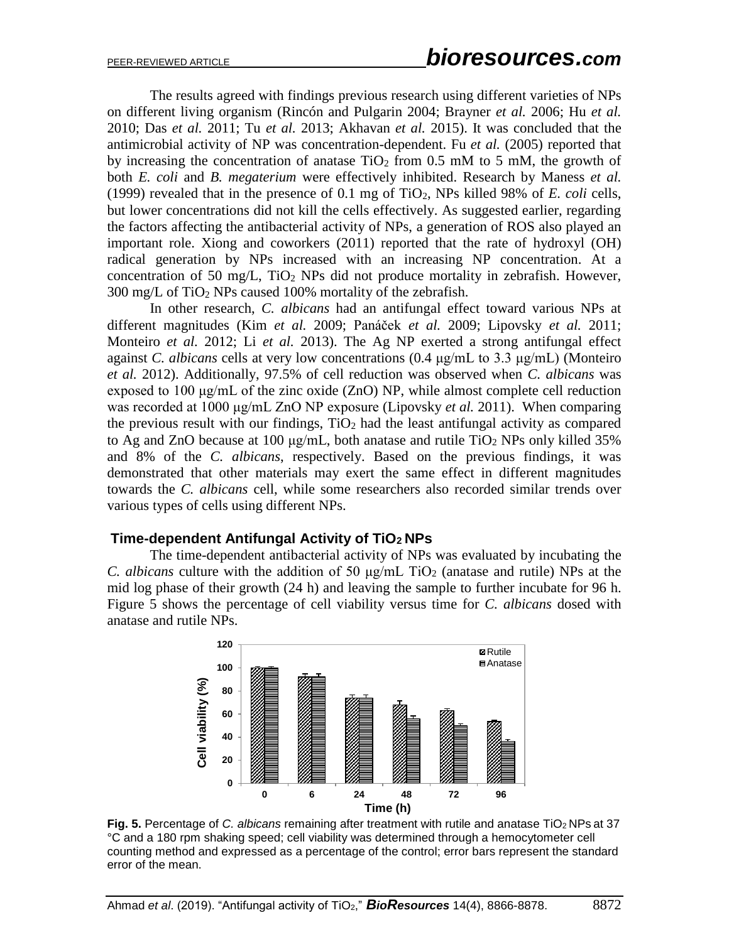The results agreed with findings previous research using different varieties of NPs on different living organism (Rincón and Pulgarin 2004; Brayner *et al.* 2006; Hu *et al.* 2010; Das *et al.* 2011; Tu *et al.* 2013; Akhavan *et al.* 2015). It was concluded that the antimicrobial activity of NP was concentration-dependent. Fu *et al.* (2005) reported that by increasing the concentration of anatase  $TiO<sub>2</sub>$  from 0.5 mM to 5 mM, the growth of both *E. coli* and *B. megaterium* were effectively inhibited. Research by Maness *et al.* (1999) revealed that in the presence of 0.1 mg of TiO2, NPs killed 98% of *E. coli* cells, but lower concentrations did not kill the cells effectively. As suggested earlier, regarding the factors affecting the antibacterial activity of NPs, a generation of ROS also played an important role. Xiong and coworkers (2011) reported that the rate of hydroxyl (OH) radical generation by NPs increased with an increasing NP concentration. At a concentration of 50 mg/L,  $TiO<sub>2</sub>$  NPs did not produce mortality in zebrafish. However, 300 mg/L of TiO<sup>2</sup> NPs caused 100% mortality of the zebrafish.

In other research, *C. albicans* had an antifungal effect toward various NPs at different magnitudes (Kim *et al.* 2009; Panáček *et al.* 2009; Lipovsky *et al.* 2011; Monteiro *et al.* 2012; Li *et al.* 2013). The Ag NP exerted a strong antifungal effect against *C. albicans* cells at very low concentrations (0.4 μg/mL to 3.3 μg/mL) (Monteiro *et al.* 2012). Additionally, 97.5% of cell reduction was observed when *C. albicans* was exposed to 100 μg/mL of the zinc oxide (ZnO) NP, while almost complete cell reduction was recorded at 1000 μg/mL ZnO NP exposure (Lipovsky *et al.* 2011). When comparing the previous result with our findings,  $TiO<sub>2</sub>$  had the least antifungal activity as compared to Ag and ZnO because at 100  $\mu$ g/mL, both anatase and rutile TiO<sub>2</sub> NPs only killed 35% and 8% of the *C. albicans*, respectively. Based on the previous findings, it was demonstrated that other materials may exert the same effect in different magnitudes towards the *C. albicans* cell, while some researchers also recorded similar trends over various types of cells using different NPs.

#### **Time-dependent Antifungal Activity of TiO2 NPs**

The time-dependent antibacterial activity of NPs was evaluated by incubating the *C. albicans* culture with the addition of 50  $\mu$ g/mL TiO<sub>2</sub> (anatase and rutile) NPs at the mid log phase of their growth (24 h) and leaving the sample to further incubate for 96 h. Figure 5 shows the percentage of cell viability versus time for *C. albicans* dosed with anatase and rutile NPs.



Fig. 5. Percentage of *C. albicans* remaining after treatment with rutile and anatase TiO<sub>2</sub> NPs at 37 °C and a 180 rpm shaking speed; cell viability was determined through a hemocytometer cell counting method and expressed as a percentage of the control; error bars represent the standard error of the mean.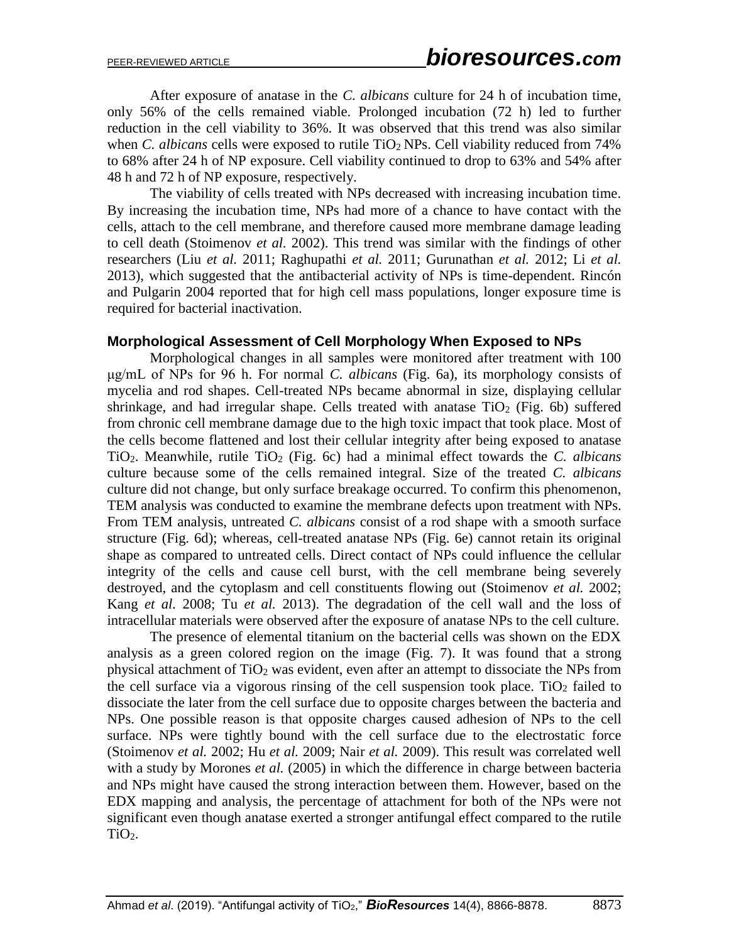After exposure of anatase in the *C. albicans* culture for 24 h of incubation time, only 56% of the cells remained viable. Prolonged incubation (72 h) led to further reduction in the cell viability to 36%. It was observed that this trend was also similar when *C. albicans* cells were exposed to rutile TiO<sub>2</sub> NPs. Cell viability reduced from 74% to 68% after 24 h of NP exposure. Cell viability continued to drop to 63% and 54% after 48 h and 72 h of NP exposure, respectively.

The viability of cells treated with NPs decreased with increasing incubation time. By increasing the incubation time, NPs had more of a chance to have contact with the cells, attach to the cell membrane, and therefore caused more membrane damage leading to cell death (Stoimenov *et al.* 2002). This trend was similar with the findings of other researchers (Liu *et al.* 2011; Raghupathi *et al.* 2011; Gurunathan *et al.* 2012; Li *et al.* 2013), which suggested that the antibacterial activity of NPs is time-dependent. Rincón and Pulgarin 2004 reported that for high cell mass populations, longer exposure time is required for bacterial inactivation.

#### **Morphological Assessment of Cell Morphology When Exposed to NPs**

Morphological changes in all samples were monitored after treatment with 100 μg/mL of NPs for 96 h. For normal *C. albicans* (Fig. 6a), its morphology consists of mycelia and rod shapes. Cell-treated NPs became abnormal in size, displaying cellular shrinkage, and had irregular shape. Cells treated with anatase  $TiO<sub>2</sub>$  (Fig. 6b) suffered from chronic cell membrane damage due to the high toxic impact that took place. Most of the cells become flattened and lost their cellular integrity after being exposed to anatase TiO2. Meanwhile, rutile TiO<sup>2</sup> (Fig. 6c) had a minimal effect towards the *C. albicans* culture because some of the cells remained integral. Size of the treated *C. albicans* culture did not change, but only surface breakage occurred. To confirm this phenomenon, TEM analysis was conducted to examine the membrane defects upon treatment with NPs. From TEM analysis, untreated *C. albicans* consist of a rod shape with a smooth surface structure (Fig. 6d); whereas, cell-treated anatase NPs (Fig. 6e) cannot retain its original shape as compared to untreated cells. Direct contact of NPs could influence the cellular integrity of the cells and cause cell burst, with the cell membrane being severely destroyed, and the cytoplasm and cell constituents flowing out (Stoimenov *et al.* 2002; Kang *et al.* 2008; Tu *et al.* 2013). The degradation of the cell wall and the loss of intracellular materials were observed after the exposure of anatase NPs to the cell culture.

The presence of elemental titanium on the bacterial cells was shown on the EDX analysis as a green colored region on the image (Fig. 7). It was found that a strong physical attachment of  $TiO<sub>2</sub>$  was evident, even after an attempt to dissociate the NPs from the cell surface via a vigorous rinsing of the cell suspension took place. TiO<sub>2</sub> failed to dissociate the later from the cell surface due to opposite charges between the bacteria and NPs. One possible reason is that opposite charges caused adhesion of NPs to the cell surface. NPs were tightly bound with the cell surface due to the electrostatic force (Stoimenov *et al.* 2002; Hu *et al.* 2009; Nair *et al.* 2009). This result was correlated well with a study by Morones *et al.* (2005) in which the difference in charge between bacteria and NPs might have caused the strong interaction between them. However, based on the EDX mapping and analysis, the percentage of attachment for both of the NPs were not significant even though anatase exerted a stronger antifungal effect compared to the rutile TiO<sub>2</sub>.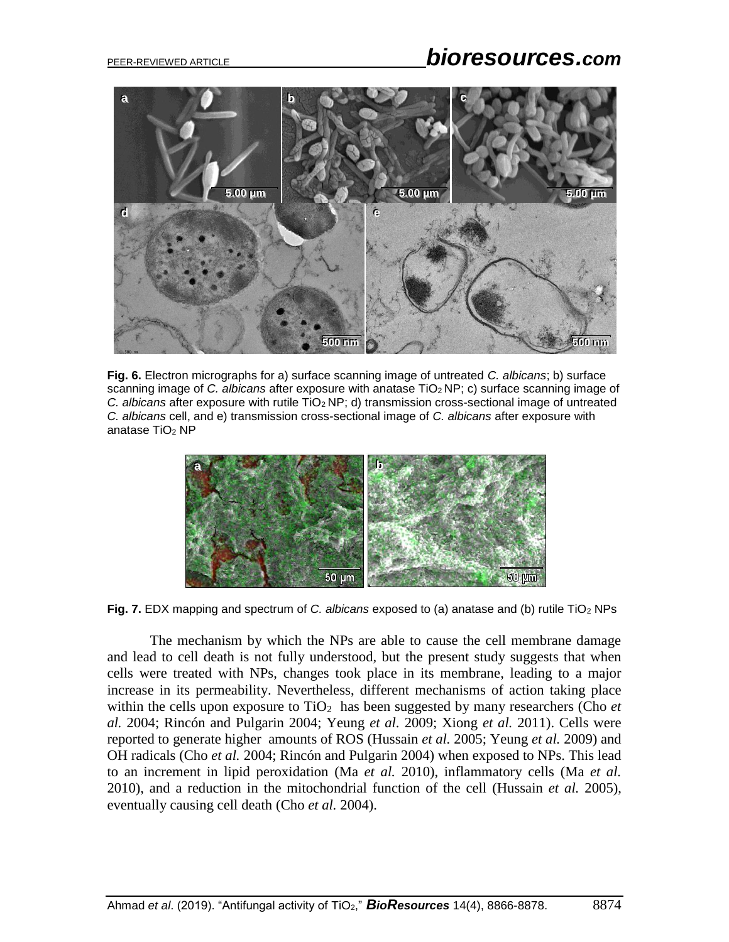# PEER-REVIEWED ARTICLE *bioresources.com*



**Fig. 6.** Electron micrographs for a) surface scanning image of untreated *C. albicans*; b) surface scanning image of *C. albicans* after exposure with anatase TiO2 NP; c) surface scanning image of *C. albicans* after exposure with rutile TiO2 NP; d) transmission cross-sectional image of untreated *C. albicans* cell, and e) transmission cross-sectional image of *C. albicans* after exposure with anatase TiO<sup>2</sup> NP



**Fig. 7.** EDX mapping and spectrum of *C. albicans* exposed to (a) anatase and (b) rutile TiO<sup>2</sup> NPs

The mechanism by which the NPs are able to cause the cell membrane damage and lead to cell death is not fully understood, but the present study suggests that when cells were treated with NPs, changes took place in its membrane, leading to a major increase in its permeability. Nevertheless, different mechanisms of action taking place within the cells upon exposure to  $TiO<sub>2</sub>$  has been suggested by many researchers (Cho *et al.* 2004; Rincón and Pulgarin 2004; Yeung *et al.* 2009; Xiong *et al.* 2011). Cells were reported to generate higher amounts of ROS (Hussain *et al.* 2005; Yeung *et al.* 2009) and OH radicals (Cho *et al.* 2004; Rincón and Pulgarin 2004) when exposed to NPs. This lead to an increment in lipid peroxidation (Ma *et al.* 2010), inflammatory cells (Ma *et al.* 2010), and a reduction in the mitochondrial function of the cell (Hussain *et al.* 2005), eventually causing cell death (Cho *et al.* 2004).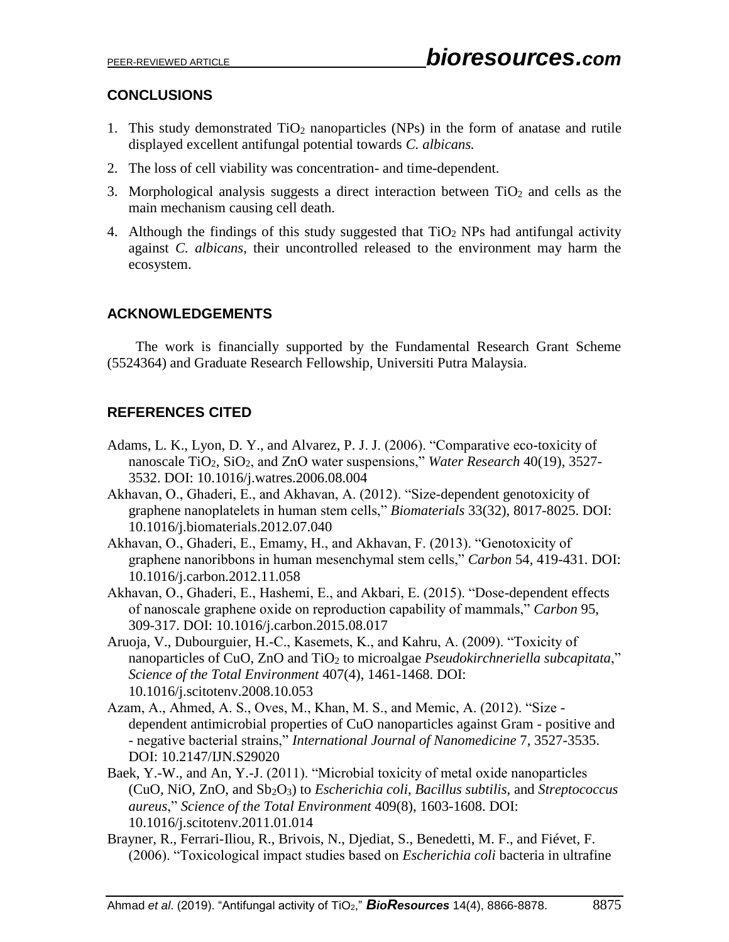## **CONCLUSIONS**

- 1. This study demonstrated  $TiO<sub>2</sub>$  nanoparticles (NPs) in the form of anatase and rutile displayed excellent antifungal potential towards *C. albicans.*
- 2. The loss of cell viability was concentration- and time-dependent.
- 3. Morphological analysis suggests a direct interaction between  $TiO<sub>2</sub>$  and cells as the main mechanism causing cell death.
- 4. Although the findings of this study suggested that  $TiO<sub>2</sub>$  NPs had antifungal activity against *C. albicans*, their uncontrolled released to the environment may harm the ecosystem.

# **ACKNOWLEDGEMENTS**

The work is financially supported by the Fundamental Research Grant Scheme (5524364) and Graduate Research Fellowship, Universiti Putra Malaysia.

# **REFERENCES CITED**

- Adams, L. K., Lyon, D. Y., and Alvarez, P. J. J. (2006). "Comparative eco-toxicity of nanoscale TiO2, SiO2, and ZnO water suspensions," *Water Research* 40(19), 3527- 3532. DOI: 10.1016/j.watres.2006.08.004
- Akhavan, O., Ghaderi, E., and Akhavan, A. (2012). "Size-dependent genotoxicity of graphene nanoplatelets in human stem cells," *Biomaterials* 33(32), 8017-8025. DOI: 10.1016/j.biomaterials.2012.07.040
- Akhavan, O., Ghaderi, E., Emamy, H., and Akhavan, F. (2013). "Genotoxicity of graphene nanoribbons in human mesenchymal stem cells," *Carbon* 54, 419-431. DOI: 10.1016/j.carbon.2012.11.058
- Akhavan, O., Ghaderi, E., Hashemi, E., and Akbari, E. (2015). "Dose-dependent effects of nanoscale graphene oxide on reproduction capability of mammals," *Carbon* 95, 309-317. DOI: 10.1016/j.carbon.2015.08.017
- Aruoja, V., Dubourguier, H.-C., Kasemets, K., and Kahru, A. (2009). "Toxicity of nanoparticles of CuO, ZnO and TiO<sup>2</sup> to microalgae *Pseudokirchneriella subcapitata*," *Science of the Total Environment* 407(4), 1461-1468. DOI: 10.1016/j.scitotenv.2008.10.053
- Azam, A., Ahmed, A. S., Oves, M., Khan, M. S., and Memic, A. (2012). "Size dependent antimicrobial properties of CuO nanoparticles against Gram - positive and - negative bacterial strains," *International Journal of Nanomedicine* 7, 3527-3535. DOI: 10.2147/IJN.S29020
- Baek, Y.-W., and An, Y.-J. (2011). "Microbial toxicity of metal oxide nanoparticles (CuO, NiO, ZnO, and Sb2O3) to *Escherichia coli*, *Bacillus subtilis*, and *Streptococcus aureus*," *Science of the Total Environment* 409(8), 1603-1608. DOI: 10.1016/j.scitotenv.2011.01.014
- Brayner, R., Ferrari-Iliou, R., Brivois, N., Djediat, S., Benedetti, M. F., and Fiévet, F. (2006). "Toxicological impact studies based on *Escherichia coli* bacteria in ultrafine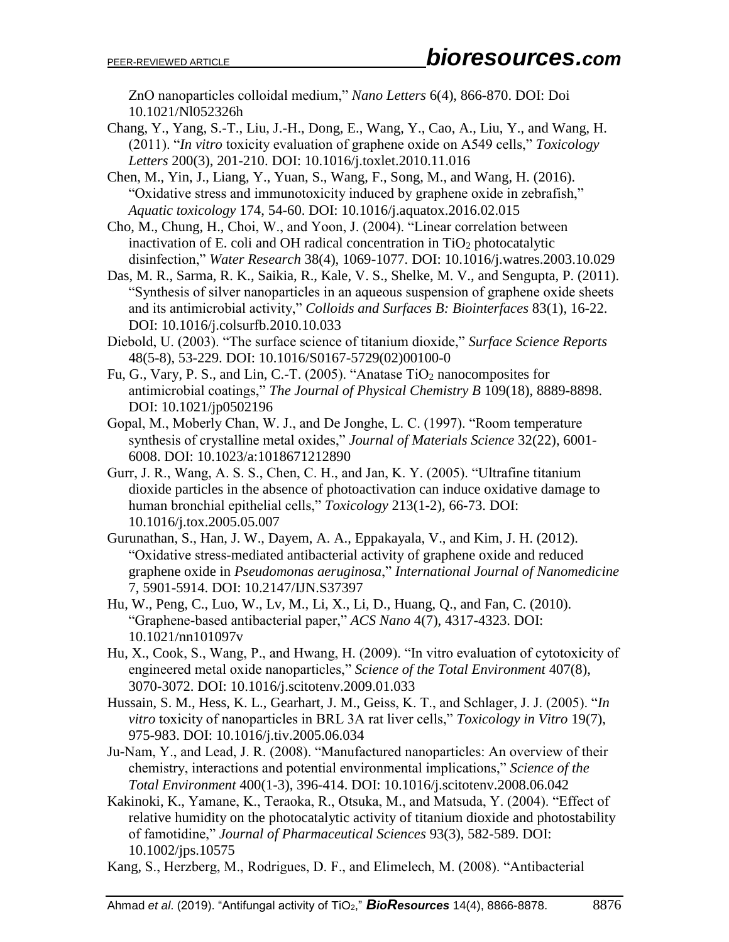ZnO nanoparticles colloidal medium," *Nano Letters* 6(4), 866-870. DOI: Doi 10.1021/Nl052326h

Chang, Y., Yang, S.-T., Liu, J.-H., Dong, E., Wang, Y., Cao, A., Liu, Y., and Wang, H. (2011). "*In vitro* toxicity evaluation of graphene oxide on A549 cells," *Toxicology Letters* 200(3), 201-210. DOI: 10.1016/j.toxlet.2010.11.016

Chen, M., Yin, J., Liang, Y., Yuan, S., Wang, F., Song, M., and Wang, H. (2016). "Oxidative stress and immunotoxicity induced by graphene oxide in zebrafish," *Aquatic toxicology* 174, 54-60. DOI: 10.1016/j.aquatox.2016.02.015

- Cho, M., Chung, H., Choi, W., and Yoon, J. (2004). "Linear correlation between inactivation of E. coli and OH radical concentration in  $TiO<sub>2</sub>$  photocatalytic disinfection," *Water Research* 38(4), 1069-1077. DOI: 10.1016/j.watres.2003.10.029
- Das, M. R., Sarma, R. K., Saikia, R., Kale, V. S., Shelke, M. V., and Sengupta, P. (2011). "Synthesis of silver nanoparticles in an aqueous suspension of graphene oxide sheets and its antimicrobial activity," *Colloids and Surfaces B: Biointerfaces* 83(1), 16-22. DOI: 10.1016/j.colsurfb.2010.10.033
- Diebold, U. (2003). "The surface science of titanium dioxide," *Surface Science Reports* 48(5-8), 53-229. DOI: 10.1016/S0167-5729(02)00100-0
- Fu, G., Vary, P. S., and Lin, C.-T. (2005). "Anatase  $TiO<sub>2</sub>$  nanocomposites for antimicrobial coatings," *The Journal of Physical Chemistry B* 109(18), 8889-8898. DOI: 10.1021/jp0502196
- Gopal, M., Moberly Chan, W. J., and De Jonghe, L. C. (1997). "Room temperature synthesis of crystalline metal oxides," *Journal of Materials Science* 32(22), 6001- 6008. DOI: 10.1023/a:1018671212890
- Gurr, J. R., Wang, A. S. S., Chen, C. H., and Jan, K. Y. (2005). "Ultrafine titanium dioxide particles in the absence of photoactivation can induce oxidative damage to human bronchial epithelial cells," *Toxicology* 213(1-2), 66-73. DOI: 10.1016/j.tox.2005.05.007
- Gurunathan, S., Han, J. W., Dayem, A. A., Eppakayala, V., and Kim, J. H. (2012). "Oxidative stress-mediated antibacterial activity of graphene oxide and reduced graphene oxide in *Pseudomonas aeruginosa*," *International Journal of Nanomedicine* 7, 5901-5914. DOI: 10.2147/IJN.S37397
- Hu, W., Peng, C., Luo, W., Lv, M., Li, X., Li, D., Huang, Q., and Fan, C. (2010). "Graphene-based antibacterial paper," *ACS Nano* 4(7), 4317-4323. DOI: 10.1021/nn101097v
- Hu, X., Cook, S., Wang, P., and Hwang, H. (2009). "In vitro evaluation of cytotoxicity of engineered metal oxide nanoparticles," *Science of the Total Environment* 407(8), 3070-3072. DOI: 10.1016/j.scitotenv.2009.01.033
- Hussain, S. M., Hess, K. L., Gearhart, J. M., Geiss, K. T., and Schlager, J. J. (2005). "*In vitro* toxicity of nanoparticles in BRL 3A rat liver cells," *Toxicology in Vitro* 19(7), 975-983. DOI: 10.1016/j.tiv.2005.06.034
- Ju-Nam, Y., and Lead, J. R. (2008). "Manufactured nanoparticles: An overview of their chemistry, interactions and potential environmental implications," *Science of the Total Environment* 400(1-3), 396-414. DOI: 10.1016/j.scitotenv.2008.06.042
- Kakinoki, K., Yamane, K., Teraoka, R., Otsuka, M., and Matsuda, Y. (2004). "Effect of relative humidity on the photocatalytic activity of titanium dioxide and photostability of famotidine," *Journal of Pharmaceutical Sciences* 93(3), 582-589. DOI: 10.1002/jps.10575
- Kang, S., Herzberg, M., Rodrigues, D. F., and Elimelech, M. (2008). "Antibacterial

Ahmad *et al*. (2019). "Antifungal activity of TiO2," *BioResources* 14(4), 8866-8878. 8876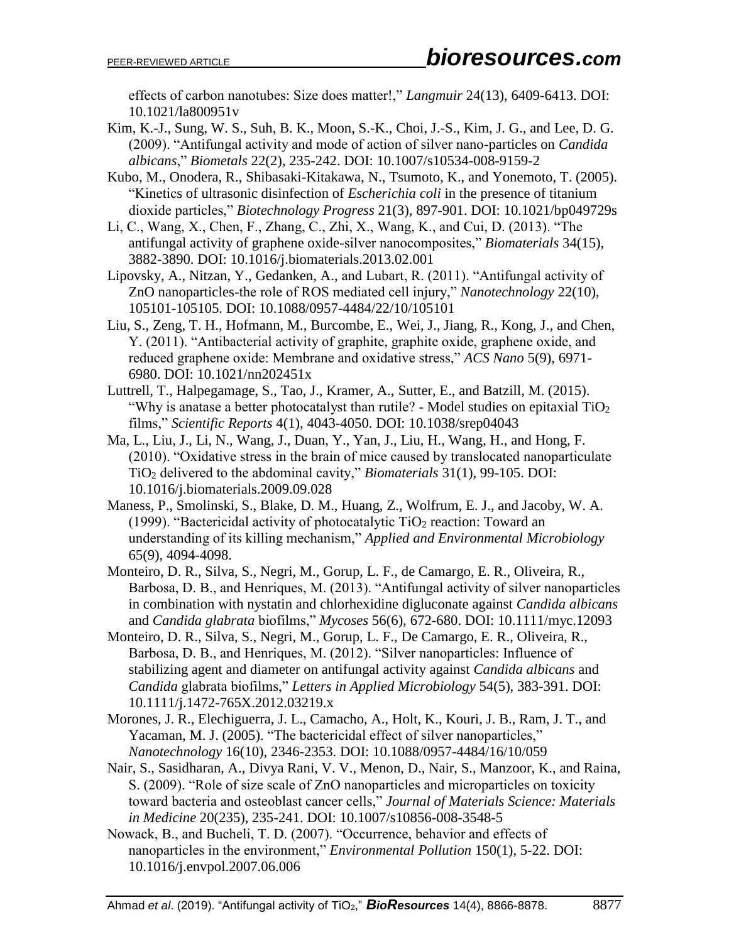effects of carbon nanotubes: Size does matter!," *Langmuir* 24(13), 6409-6413. DOI: 10.1021/la800951v

- Kim, K.-J., Sung, W. S., Suh, B. K., Moon, S.-K., Choi, J.-S., Kim, J. G., and Lee, D. G. (2009). "Antifungal activity and mode of action of silver nano-particles on *Candida albicans*," *Biometals* 22(2), 235-242. DOI: 10.1007/s10534-008-9159-2
- Kubo, M., Onodera, R., Shibasaki-Kitakawa, N., Tsumoto, K., and Yonemoto, T. (2005). "Kinetics of ultrasonic disinfection of *Escherichia coli* in the presence of titanium dioxide particles," *Biotechnology Progress* 21(3), 897-901. DOI: 10.1021/bp049729s
- Li, C., Wang, X., Chen, F., Zhang, C., Zhi, X., Wang, K., and Cui, D. (2013). "The antifungal activity of graphene oxide-silver nanocomposites," *Biomaterials* 34(15), 3882-3890. DOI: 10.1016/j.biomaterials.2013.02.001
- Lipovsky, A., Nitzan, Y., Gedanken, A., and Lubart, R. (2011). "Antifungal activity of ZnO nanoparticles-the role of ROS mediated cell injury," *Nanotechnology* 22(10), 105101-105105. DOI: 10.1088/0957-4484/22/10/105101
- Liu, S., Zeng, T. H., Hofmann, M., Burcombe, E., Wei, J., Jiang, R., Kong, J., and Chen, Y. (2011). "Antibacterial activity of graphite, graphite oxide, graphene oxide, and reduced graphene oxide: Membrane and oxidative stress," *ACS Nano* 5(9), 6971- 6980. DOI: 10.1021/nn202451x
- Luttrell, T., Halpegamage, S., Tao, J., Kramer, A., Sutter, E., and Batzill, M. (2015). "Why is anatase a better photocatalyst than rutile? - Model studies on epitaxial  $TiO<sub>2</sub>$ films," *Scientific Reports* 4(1), 4043-4050. DOI: 10.1038/srep04043
- Ma, L., Liu, J., Li, N., Wang, J., Duan, Y., Yan, J., Liu, H., Wang, H., and Hong, F. (2010). "Oxidative stress in the brain of mice caused by translocated nanoparticulate TiO<sup>2</sup> delivered to the abdominal cavity," *Biomaterials* 31(1), 99-105. DOI: 10.1016/j.biomaterials.2009.09.028
- Maness, P., Smolinski, S., Blake, D. M., Huang, Z., Wolfrum, E. J., and Jacoby, W. A. (1999). "Bactericidal activity of photocatalytic  $TiO<sub>2</sub>$  reaction: Toward an understanding of its killing mechanism," *Applied and Environmental Microbiology* 65(9), 4094-4098.
- Monteiro, D. R., Silva, S., Negri, M., Gorup, L. F., de Camargo, E. R., Oliveira, R., Barbosa, D. B., and Henriques, M. (2013). "Antifungal activity of silver nanoparticles in combination with nystatin and chlorhexidine digluconate against *Candida albicans*  and *Candida glabrata* biofilms," *Mycoses* 56(6), 672-680. DOI: 10.1111/myc.12093
- Monteiro, D. R., Silva, S., Negri, M., Gorup, L. F., De Camargo, E. R., Oliveira, R., Barbosa, D. B., and Henriques, M. (2012). "Silver nanoparticles: Influence of stabilizing agent and diameter on antifungal activity against *Candida albicans* and *Candida* glabrata biofilms," *Letters in Applied Microbiology* 54(5), 383-391. DOI: 10.1111/j.1472-765X.2012.03219.x
- Morones, J. R., Elechiguerra, J. L., Camacho, A., Holt, K., Kouri, J. B., Ram, J. T., and Yacaman, M. J. (2005). "The bactericidal effect of silver nanoparticles," *Nanotechnology* 16(10), 2346-2353. DOI: 10.1088/0957-4484/16/10/059
- Nair, S., Sasidharan, A., Divya Rani, V. V., Menon, D., Nair, S., Manzoor, K., and Raina, S. (2009). "Role of size scale of ZnO nanoparticles and microparticles on toxicity toward bacteria and osteoblast cancer cells," *Journal of Materials Science: Materials in Medicine* 20(235), 235-241. DOI: 10.1007/s10856-008-3548-5
- Nowack, B., and Bucheli, T. D. (2007). "Occurrence, behavior and effects of nanoparticles in the environment," *Environmental Pollution* 150(1), 5-22. DOI: 10.1016/j.envpol.2007.06.006